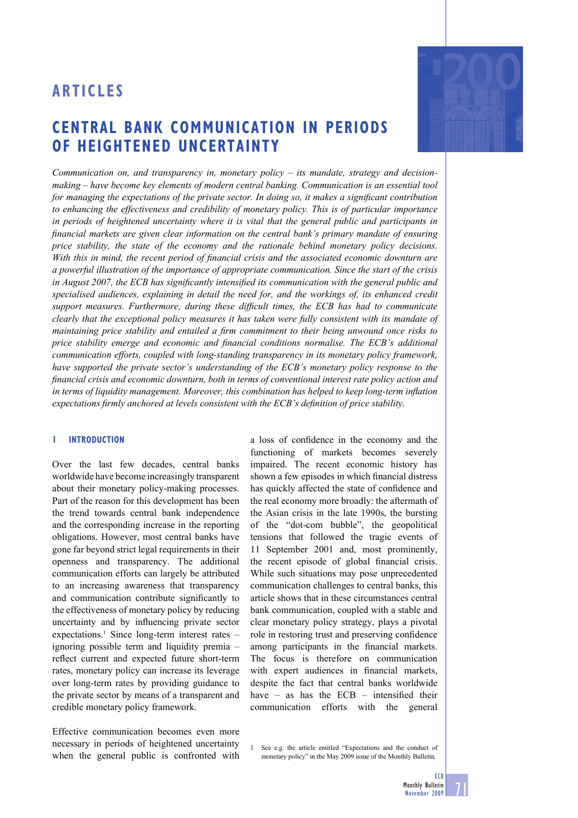# **CENTRAL BANK COMMUNICATION IN PERIODS OF HEIGHTENED UNCERTAINTY**



*Communication on, and transparency in, monetary policy – its mandate, strategy and decisionmaking – have become key elements of modern central banking. Communication is an essential tool for managing the expectations of the private sector. In doing so, it makes a significant contribution to enhancing the effectiveness and credibility of monetary policy. This is of particular importance in periods of heightened uncertainty where it is vital that the general public and participants in financial markets are given clear information on the central bank's primary mandate of ensuring price stability, the state of the economy and the rationale behind monetary policy decisions. With this in mind, the recent period of financial crisis and the associated economic downturn are a powerful illustration of the importance of appropriate communication. Since the start of the crisis in August 2007, the ECB has significantly intensified its communication with the general public and specialised audiences, explaining in detail the need for, and the workings of, its enhanced credit*  support measures. Furthermore, during these difficult times, the ECB has had to communicate *clearly that the exceptional policy measures it has taken were fully consistent with its mandate of maintaining price stability and entailed a firm commitment to their being unwound once risks to price stability emerge and economic and financial conditions normalise. The ECB's additional communication efforts, coupled with long-standing transparency in its monetary policy framework, have supported the private sector's understanding of the ECB's monetary policy response to the fi nancial crisis and economic downturn, both in terms of conventional interest rate policy action and*  in terms of liquidity management. Moreover, this combination has helped to keep long-term inflation expectations firmly anchored at levels consistent with the ECB's definition of price stability.

#### **1 INTRODUCTION**

Over the last few decades, central banks worldwide have become increasingly transparent about their monetary policy-making processes. Part of the reason for this development has been the trend towards central bank independence and the corresponding increase in the reporting obligations. However, most central banks have gone far beyond strict legal requirements in their openness and transparency. The additional communication efforts can largely be attributed to an increasing awareness that transparency and communication contribute significantly to the effectiveness of monetary policy by reducing uncertainty and by influencing private sector expectations.<sup>1</sup> Since long-term interest rates – ignoring possible term and liquidity premia – reflect current and expected future short-term rates, monetary policy can increase its leverage over long-term rates by providing guidance to the private sector by means of a transparent and credible monetary policy framework.

Effective communication becomes even more necessary in periods of heightened uncertainty when the general public is confronted with

a loss of confidence in the economy and the functioning of markets becomes severely impaired. The recent economic history has shown a few episodes in which financial distress has quickly affected the state of confidence and the real economy more broadly: the aftermath of the Asian crisis in the late 1990s, the bursting of the "dot-com bubble", the geopolitical tensions that followed the tragic events of 11 September 2001 and, most prominently, the recent episode of global financial crisis. While such situations may pose unprecedented communication challenges to central banks, this article shows that in these circumstances central bank communication, coupled with a stable and clear monetary policy strategy, plays a pivotal role in restoring trust and preserving confidence among participants in the financial markets. The focus is therefore on communication with expert audiences in financial markets, despite the fact that central banks worldwide have  $-$  as has the ECB  $-$  intensified their communication efforts with the general

1 See e.g. the article entitled "Expectations and the conduct of monetary policy" in the May 2009 issue of the Monthly Bulletin.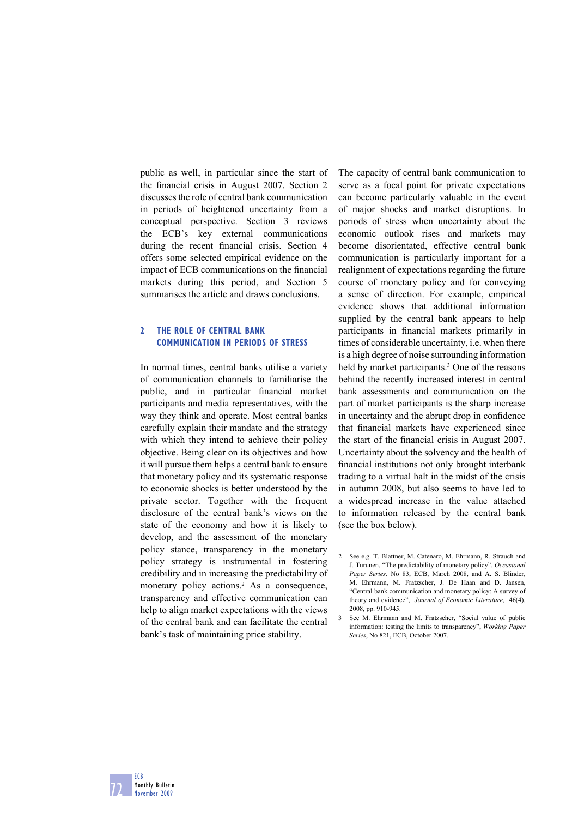public as well, in particular since the start of the financial crisis in August 2007. Section 2 discusses the role of central bank communication in periods of heightened uncertainty from a conceptual perspective. Section 3 reviews the ECB's key external communications during the recent financial crisis. Section 4 offers some selected empirical evidence on the impact of ECB communications on the financial markets during this period, and Section 5 summarises the article and draws conclusions.

# **2 THE ROLE OF CENTRAL BANK COMMUNICATION IN PERIODS OF STRESS**

In normal times, central banks utilise a variety of communication channels to familiarise the public, and in particular financial market participants and media representatives, with the way they think and operate. Most central banks carefully explain their mandate and the strategy with which they intend to achieve their policy objective. Being clear on its objectives and how it will pursue them helps a central bank to ensure that monetary policy and its systematic response to economic shocks is better understood by the private sector. Together with the frequent disclosure of the central bank's views on the state of the economy and how it is likely to develop, and the assessment of the monetary policy stance, transparency in the monetary policy strategy is instrumental in fostering credibility and in increasing the predictability of monetary policy actions.<sup>2</sup> As a consequence, transparency and effective communication can help to align market expectations with the views of the central bank and can facilitate the central bank's task of maintaining price stability.

The capacity of central bank communication to serve as a focal point for private expectations can become particularly valuable in the event of major shocks and market disruptions. In periods of stress when uncertainty about the economic outlook rises and markets may become disorientated, effective central bank communication is particularly important for a realignment of expectations regarding the future course of monetary policy and for conveying a sense of direction. For example, empirical evidence shows that additional information supplied by the central bank appears to help participants in financial markets primarily in times of considerable uncertainty, i.e. when there is a high degree of noise surrounding information held by market participants.<sup>3</sup> One of the reasons behind the recently increased interest in central bank assessments and communication on the part of market participants is the sharp increase in uncertainty and the abrupt drop in confidence that financial markets have experienced since the start of the financial crisis in August 2007. Uncertainty about the solvency and the health of financial institutions not only brought interbank trading to a virtual halt in the midst of the crisis in autumn 2008, but also seems to have led to a widespread increase in the value attached to information released by the central bank (see the box below).

<sup>2</sup> See e.g. T. Blattner, M. Catenaro, M. Ehrmann, R. Strauch and J. Turunen, "The predictability of monetary policy", *Occasional Paper Series,* No 83, ECB, March 2008, and A. S. Blinder, M. Ehrmann, M. Fratzscher, J. De Haan and D. Jansen, "Central bank communication and monetary policy: A survey of theory and evidence", *Journal of Economic Literature*, 46(4), 2008, pp. 910-945.

<sup>3</sup> See M. Ehrmann and M. Fratzscher, "Social value of public information: testing the limits to transparency", *Working Paper Series*, No 821, ECB, October 2007.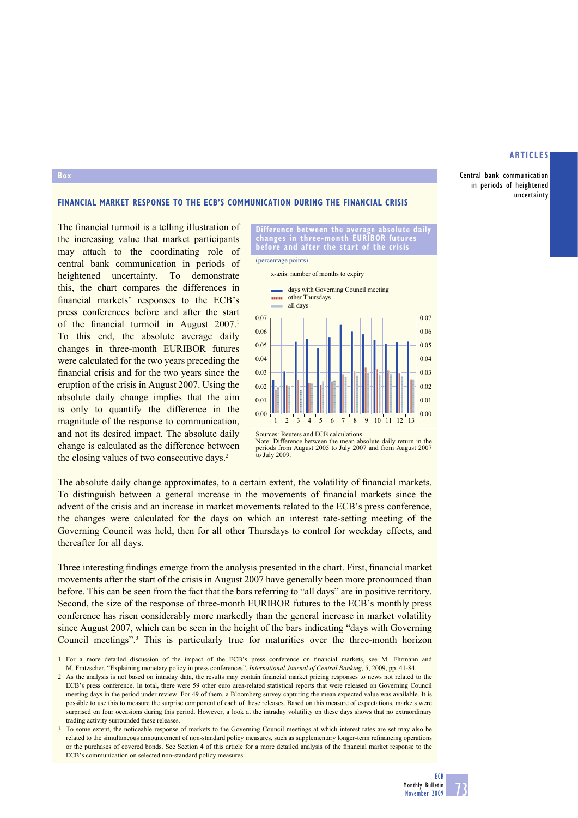**Central bank communication in periods of heightened uncertainty**

#### **FINANCIAL MARKET RESPONSE TO THE ECB'S COMMUNICATION DURING THE FINANCIAL CRISIS**

The financial turmoil is a telling illustration of the increasing value that market participants may attach to the coordinating role of central bank communication in periods of heightened uncertainty. To demonstrate this, the chart compares the differences in financial markets' responses to the ECB's press conferences before and after the start of the financial turmoil in August  $2007$ .<sup>1</sup> To this end, the absolute average daily changes in three-month EURIBOR futures were calculated for the two years preceding the financial crisis and for the two years since the eruption of the crisis in August 2007. Using the absolute daily change implies that the aim is only to quantify the difference in the magnitude of the response to communication, and not its desired impact. The absolute daily change is calculated as the difference between the closing values of two consecutive days.<sup>2</sup>

**Box**



**Difference between the average absolute daily changes in three-month EURIBOR futures before and after the start of the crisis**

(percentage points)

Sources: Reuters and ECB calculations. Note: Difference between the mean absolute daily return in the periods from August 2005 to July 2007 and from August 2007 to July 2009

The absolute daily change approximates, to a certain extent, the volatility of financial markets. To distinguish between a general increase in the movements of financial markets since the advent of the crisis and an increase in market movements related to the ECB's press conference, the changes were calculated for the days on which an interest rate-setting meeting of the Governing Council was held, then for all other Thursdays to control for weekday effects, and thereafter for all days.

Three interesting findings emerge from the analysis presented in the chart. First, financial market movements after the start of the crisis in August 2007 have generally been more pronounced than before. This can be seen from the fact that the bars referring to "all days" are in positive territory. Second, the size of the response of three-month EURIBOR futures to the ECB's monthly press conference has risen considerably more markedly than the general increase in market volatility since August 2007, which can be seen in the height of the bars indicating "days with Governing Council meetings".3 This is particularly true for maturities over the three-month horizon

<sup>1</sup> For a more detailed discussion of the impact of the ECB's press conference on financial markets, see M. Ehrmann and M. Fratzscher, "Explaining monetary policy in press conferences", *International Journal of Central Banking*, 5, 2009, pp. 41-84.

<sup>2</sup> As the analysis is not based on intraday data, the results may contain financial market pricing responses to news not related to the ECB's press conference. In total, there were 59 other euro area-related statistical reports that were released on Governing Council meeting days in the period under review. For 49 of them, a Bloomberg survey capturing the mean expected value was available. It is possible to use this to measure the surprise component of each of these releases. Based on this measure of expectations, markets were surprised on four occasions during this period. However, a look at the intraday volatility on these days shows that no extraordinary trading activity surrounded these releases.

<sup>3</sup> To some extent, the noticeable response of markets to the Governing Council meetings at which interest rates are set may also be related to the simultaneous announcement of non-standard policy measures, such as supplementary longer-term refinancing operations or the purchases of covered bonds. See Section 4 of this article for a more detailed analysis of the financial market response to the ECB's communication on selected non-standard policy measures.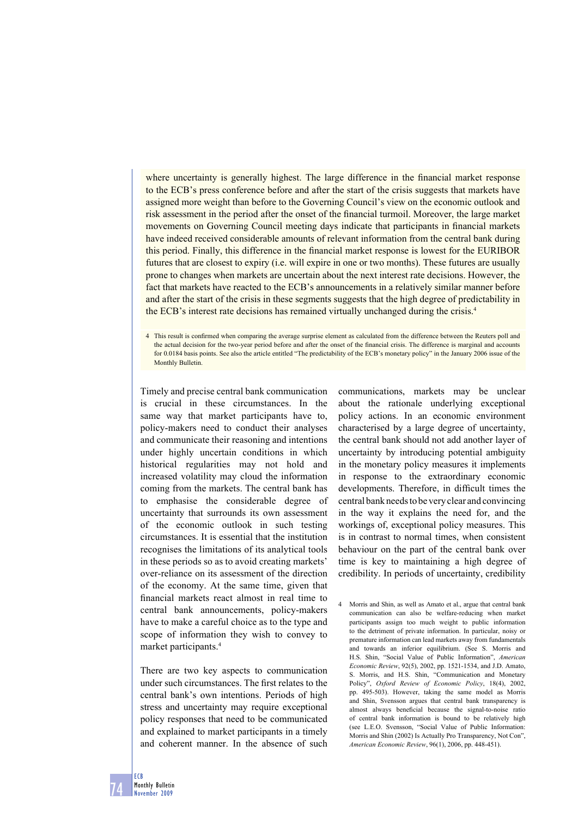where uncertainty is generally highest. The large difference in the financial market response to the ECB's press conference before and after the start of the crisis suggests that markets have assigned more weight than before to the Governing Council's view on the economic outlook and risk assessment in the period after the onset of the financial turmoil. Moreover, the large market movements on Governing Council meeting days indicate that participants in financial markets have indeed received considerable amounts of relevant information from the central bank during this period. Finally, this difference in the financial market response is lowest for the EURIBOR futures that are closest to expiry (i.e. will expire in one or two months). These futures are usually prone to changes when markets are uncertain about the next interest rate decisions. However, the fact that markets have reacted to the ECB's announcements in a relatively similar manner before and after the start of the crisis in these segments suggests that the high degree of predictability in the ECB's interest rate decisions has remained virtually unchanged during the crisis.4

4 This result is confirmed when comparing the average surprise element as calculated from the difference between the Reuters poll and the actual decision for the two-year period before and after the onset of the financial crisis. The difference is marginal and accounts for 0.0184 basis points. See also the article entitled "The predictability of the ECB's monetary policy" in the January 2006 issue of the Monthly Bulletin.

Timely and precise central bank communication is crucial in these circumstances. In the same way that market participants have to, policy-makers need to conduct their analyses and communicate their reasoning and intentions under highly uncertain conditions in which historical regularities may not hold and increased volatility may cloud the information coming from the markets. The central bank has to emphasise the considerable degree of uncertainty that surrounds its own assessment of the economic outlook in such testing circumstances. It is essential that the institution recognises the limitations of its analytical tools in these periods so as to avoid creating markets' over-reliance on its assessment of the direction of the economy. At the same time, given that financial markets react almost in real time to central bank announcements, policy-makers have to make a careful choice as to the type and scope of information they wish to convey to market participants.4

There are two key aspects to communication under such circumstances. The first relates to the central bank's own intentions. Periods of high stress and uncertainty may require exceptional policy responses that need to be communicated and explained to market participants in a timely and coherent manner. In the absence of such

communications, markets may be unclear about the rationale underlying exceptional policy actions. In an economic environment characterised by a large degree of uncertainty, the central bank should not add another layer of uncertainty by introducing potential ambiguity in the monetary policy measures it implements in response to the extraordinary economic developments. Therefore, in difficult times the central bank needs to be very clear and convincing in the way it explains the need for, and the workings of, exceptional policy measures. This is in contrast to normal times, when consistent behaviour on the part of the central bank over time is key to maintaining a high degree of credibility. In periods of uncertainty, credibility

4 Morris and Shin, as well as Amato et al., argue that central bank communication can also be welfare-reducing when market participants assign too much weight to public information to the detriment of private information. In particular, noisy or premature information can lead markets away from fundamentals and towards an inferior equilibrium. (See S. Morris and H.S. Shin, "Social Value of Public Information", *American Economic Review*, 92(5), 2002, pp. 1521-1534, and J.D. Amato, S. Morris, and H.S. Shin, "Communication and Monetary Policy", *Oxford Review of Economic Policy*, 18(4), 2002, pp. 495-503). However, taking the same model as Morris and Shin, Svensson argues that central bank transparency is almost always beneficial because the signal-to-noise ratio of central bank information is bound to be relatively high (see L.E.O. Svensson, "Social Value of Public Information: Morris and Shin (2002) Is Actually Pro Transparency, Not Con", *American Economic Review*, 96(1), 2006, pp. 448-451).

**74 ECB Monthly Bulletin November 2009**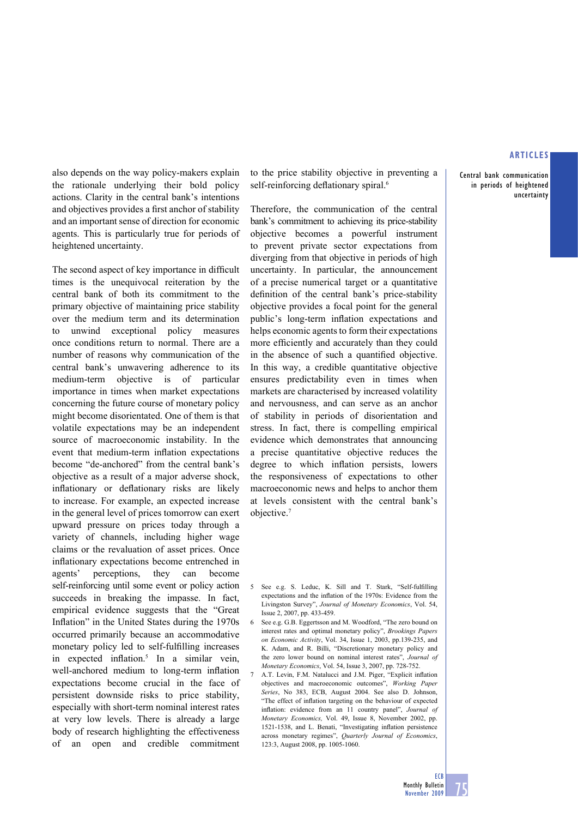**Central bank communication in periods of heightened uncertainty**

also depends on the way policy-makers explain the rationale underlying their bold policy actions. Clarity in the central bank's intentions and objectives provides a first anchor of stability and an important sense of direction for economic agents. This is particularly true for periods of heightened uncertainty.

The second aspect of key importance in difficult times is the unequivocal reiteration by the central bank of both its commitment to the primary objective of maintaining price stability over the medium term and its determination to unwind exceptional policy measures once conditions return to normal. There are a number of reasons why communication of the central bank's unwavering adherence to its medium-term objective is of particular importance in times when market expectations concerning the future course of monetary policy might become disorientated. One of them is that volatile expectations may be an independent source of macroeconomic instability. In the event that medium-term inflation expectations become "de-anchored" from the central bank's objective as a result of a major adverse shock, inflationary or deflationary risks are likely to increase. For example, an expected increase in the general level of prices tomorrow can exert upward pressure on prices today through a variety of channels, including higher wage claims or the revaluation of asset prices. Once inflationary expectations become entrenched in agents' perceptions, they can become self-reinforcing until some event or policy action succeeds in breaking the impasse. In fact, empirical evidence suggests that the "Great Inflation" in the United States during the 1970s occurred primarily because an accommodative monetary policy led to self-fulfilling increases in expected inflation.<sup>5</sup> In a similar vein, well-anchored medium to long-term inflation expectations become crucial in the face of persistent downside risks to price stability, especially with short-term nominal interest rates at very low levels. There is already a large body of research highlighting the effectiveness of an open and credible commitment

to the price stability objective in preventing a self-reinforcing deflationary spiral.<sup>6</sup>

Therefore, the communication of the central bank's commitment to achieving its price-stability objective becomes a powerful instrument to prevent private sector expectations from diverging from that objective in periods of high uncertainty. In particular, the announcement of a precise numerical target or a quantitative definition of the central bank's price-stability objective provides a focal point for the general public's long-term inflation expectations and helps economic agents to form their expectations more efficiently and accurately than they could in the absence of such a quantified objective. In this way, a credible quantitative objective ensures predictability even in times when markets are characterised by increased volatility and nervousness, and can serve as an anchor of stability in periods of disorientation and stress. In fact, there is compelling empirical evidence which demonstrates that announcing a precise quantitative objective reduces the degree to which inflation persists, lowers the responsiveness of expectations to other macroeconomic news and helps to anchor them at levels consistent with the central bank's objective.7

- 6 See e.g. G.B. Eggertsson and M. Woodford, "The zero bound on interest rates and optimal monetary policy", *Brookings Papers on Economic Activity*, Vol. 34, Issue 1, 2003, pp.139-235, and K. Adam, and R. Billi, "Discretionary monetary policy and the zero lower bound on nominal interest rates", *Journal of Monetary Economics*, Vol. 54, Issue 3, 2007, pp. 728-752.
- 7 A.T. Levin, F.M. Natalucci and J.M. Piger, "Explicit inflation objectives and macroeconomic outcomes", *Working Paper Series*, No 383, ECB, August 2004. See also D. Johnson, "The effect of inflation targeting on the behaviour of expected inflation: evidence from an 11 country panel", *Journal of Monetary Economics,* Vol. 49, Issue 8, November 2002, pp. 1521-1538, and L. Benati, "Investigating inflation persistence across monetary regimes", *Quarterly Journal of Economics*, 123:3, August 2008, pp. 1005-1060.

<sup>5</sup> See e.g. S. Leduc, K. Sill and T. Stark, "Self-fulfilling expectations and the inflation of the 1970s: Evidence from the Livingston Survey", *Journal of Monetary Economics*, Vol. 54, Issue 2, 2007, pp. 433-459.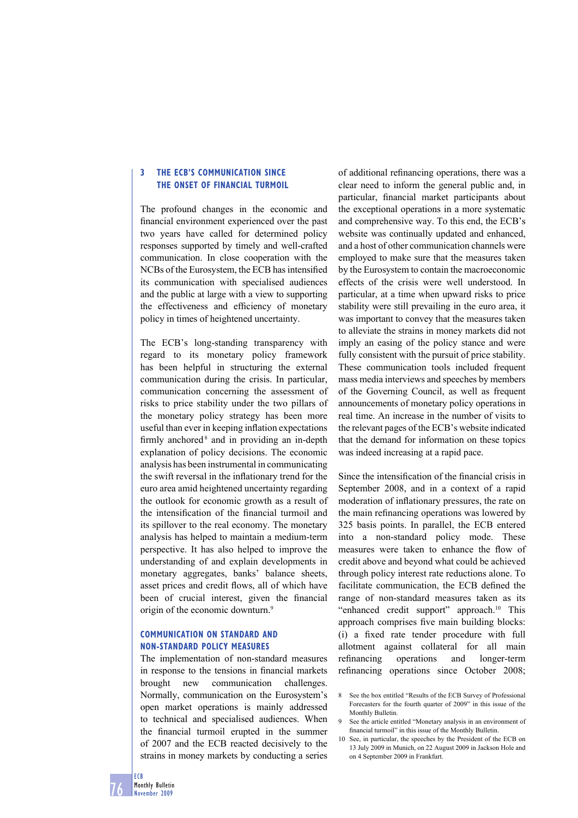## **3 THE ECB'S COMMUNICATION SINCE THE ONSET OF FINANCIAL TURMOIL**

The profound changes in the economic and financial environment experienced over the past two years have called for determined policy responses supported by timely and well-crafted communication. In close cooperation with the NCBs of the Eurosystem, the ECB has intensified its communication with specialised audiences and the public at large with a view to supporting the effectiveness and efficiency of monetary policy in times of heightened uncertainty.

The ECB's long-standing transparency with regard to its monetary policy framework has been helpful in structuring the external communication during the crisis. In particular, communication concerning the assessment of risks to price stability under the two pillars of the monetary policy strategy has been more useful than ever in keeping inflation expectations firmly anchored<sup>8</sup> and in providing an in-depth explanation of policy decisions. The economic analysis has been instrumental in communicating the swift reversal in the inflationary trend for the euro area amid heightened uncertainty regarding the outlook for economic growth as a result of the intensification of the financial turmoil and its spillover to the real economy. The monetary analysis has helped to maintain a medium-term perspective. It has also helped to improve the understanding of and explain developments in monetary aggregates, banks' balance sheets, asset prices and credit flows, all of which have been of crucial interest, given the financial origin of the economic downturn.<sup>9</sup>

# **COMMUNICATION ON STANDARD AND NON-STANDARD POLICY MEASURES**

The implementation of non-standard measures in response to the tensions in financial markets brought new communication challenges. Normally, communication on the Eurosystem's open market operations is mainly addressed to technical and specialised audiences. When the financial turmoil erupted in the summer of 2007 and the ECB reacted decisively to the strains in money markets by conducting a series

of additional refinancing operations, there was a clear need to inform the general public and, in particular, financial market participants about the exceptional operations in a more systematic and comprehensive way. To this end, the ECB's website was continually updated and enhanced, and a host of other communication channels were employed to make sure that the measures taken by the Eurosystem to contain the macroeconomic effects of the crisis were well understood. In particular, at a time when upward risks to price stability were still prevailing in the euro area, it was important to convey that the measures taken to alleviate the strains in money markets did not imply an easing of the policy stance and were fully consistent with the pursuit of price stability. These communication tools included frequent mass media interviews and speeches by members of the Governing Council, as well as frequent announcements of monetary policy operations in real time. An increase in the number of visits to the relevant pages of the ECB's website indicated that the demand for information on these topics was indeed increasing at a rapid pace.

Since the intensification of the financial crisis in September 2008, and in a context of a rapid moderation of inflationary pressures, the rate on the main refinancing operations was lowered by 325 basis points. In parallel, the ECB entered into a non-standard policy mode. These measures were taken to enhance the flow of credit above and beyond what could be achieved through policy interest rate reductions alone. To facilitate communication, the ECB defined the range of non-standard measures taken as its "enhanced credit support" approach.<sup>10</sup> This approach comprises five main building blocks: (i) a fixed rate tender procedure with full allotment against collateral for all main refinancing operations and longer-term refinancing operations since October 2008;

<sup>8</sup> See the box entitled "Results of the ECB Survey of Professional Forecasters for the fourth quarter of 2009" in this issue of the Monthly Bulletin.

<sup>9</sup> See the article entitled "Monetary analysis in an environment of financial turmoil" in this issue of the Monthly Bulletin.

<sup>10</sup> See, in particular, the speeches by the President of the ECB on 13 July 2009 in Munich, on 22 August 2009 in Jackson Hole and on 4 September 2009 in Frankfurt.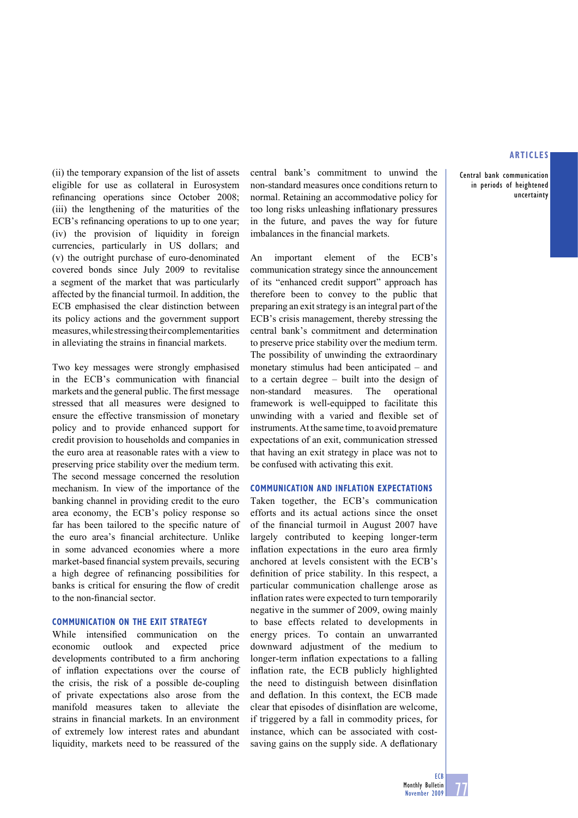**Central bank communication in periods of heightened uncertainty**

(ii) the temporary expansion of the list of assets eligible for use as collateral in Eurosystem refinancing operations since October 2008; (iii) the lengthening of the maturities of the ECB's refinancing operations to up to one year; (iv) the provision of liquidity in foreign currencies, particularly in US dollars; and (v) the outright purchase of euro-denominated covered bonds since July 2009 to revitalise a segment of the market that was particularly affected by the financial turmoil. In addition, the ECB emphasised the clear distinction between its policy actions and the government support measures, while stressing their complementarities in alleviating the strains in financial markets.

Two key messages were strongly emphasised in the ECB's communication with financial markets and the general public. The first message stressed that all measures were designed to ensure the effective transmission of monetary policy and to provide enhanced support for credit provision to households and companies in the euro area at reasonable rates with a view to preserving price stability over the medium term. The second message concerned the resolution mechanism. In view of the importance of the banking channel in providing credit to the euro area economy, the ECB's policy response so far has been tailored to the specific nature of the euro area's financial architecture. Unlike in some advanced economies where a more market-based financial system prevails, securing a high degree of refinancing possibilities for banks is critical for ensuring the flow of credit to the non-financial sector.

# **COMMUNICATION ON THE EXIT STRATEGY**

While intensified communication on the economic outlook and expected price developments contributed to a firm anchoring of inflation expectations over the course of the crisis, the risk of a possible de-coupling of private expectations also arose from the manifold measures taken to alleviate the strains in financial markets. In an environment of extremely low interest rates and abundant liquidity, markets need to be reassured of the

central bank's commitment to unwind the non-standard measures once conditions return to normal. Retaining an accommodative policy for too long risks unleashing inflationary pressures in the future, and paves the way for future imbalances in the financial markets.

An important element of the ECB's communication strategy since the announcement of its "enhanced credit support" approach has therefore been to convey to the public that preparing an exit strategy is an integral part of the ECB's crisis management, thereby stressing the central bank's commitment and determination to preserve price stability over the medium term. The possibility of unwinding the extraordinary monetary stimulus had been anticipated – and to a certain degree – built into the design of non-standard measures. The operational framework is well-equipped to facilitate this unwinding with a varied and flexible set of instruments. At the same time, to avoid premature expectations of an exit, communication stressed that having an exit strategy in place was not to be confused with activating this exit.

#### **COMMUNICATION AND INFLATION EXPECTATIONS**

Taken together, the ECB's communication efforts and its actual actions since the onset of the financial turmoil in August 2007 have largely contributed to keeping longer-term inflation expectations in the euro area firmly anchored at levels consistent with the ECB's definition of price stability. In this respect, a particular communication challenge arose as inflation rates were expected to turn temporarily negative in the summer of 2009, owing mainly to base effects related to developments in energy prices. To contain an unwarranted downward adjustment of the medium to longer-term inflation expectations to a falling inflation rate, the ECB publicly highlighted the need to distinguish between disinflation and deflation. In this context, the ECB made clear that episodes of disinflation are welcome, if triggered by a fall in commodity prices, for instance, which can be associated with costsaving gains on the supply side. A deflationary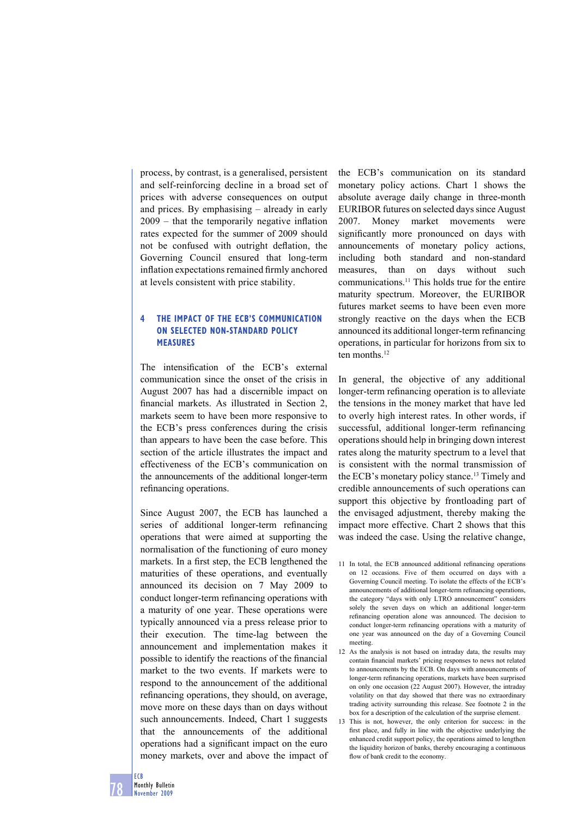process, by contrast, is a generalised, persistent and self-reinforcing decline in a broad set of prices with adverse consequences on output and prices. By emphasising – already in early  $2009$  – that the temporarily negative inflation rates expected for the summer of 2009 should not be confused with outright deflation, the Governing Council ensured that long-term inflation expectations remained firmly anchored at levels consistent with price stability.

## **4 THE IMPACT OF THE ECB'S COMMUNICATION ON SELECTED NON-STANDARD POLICY MEASURES**

The intensification of the ECB's external communication since the onset of the crisis in August 2007 has had a discernible impact on financial markets. As illustrated in Section 2, markets seem to have been more responsive to the ECB's press conferences during the crisis than appears to have been the case before. This section of the article illustrates the impact and effectiveness of the ECB's communication on the announcements of the additional longer-term refinancing operations.

Since August 2007, the ECB has launched a series of additional longer-term refinancing operations that were aimed at supporting the normalisation of the functioning of euro money markets. In a first step, the ECB lengthened the maturities of these operations, and eventually announced its decision on 7 May 2009 to conduct longer-term refinancing operations with a maturity of one year. These operations were typically announced via a press release prior to their execution. The time-lag between the announcement and implementation makes it possible to identify the reactions of the financial market to the two events. If markets were to respond to the announcement of the additional refinancing operations, they should, on average, move more on these days than on days without such announcements. Indeed, Chart 1 suggests that the announcements of the additional operations had a significant impact on the euro money markets, over and above the impact of

the ECB's communication on its standard monetary policy actions. Chart 1 shows the absolute average daily change in three-month EURIBOR futures on selected days since August 2007. Money market movements were significantly more pronounced on days with announcements of monetary policy actions, including both standard and non-standard measures, than on days without such communications.11 This holds true for the entire maturity spectrum. Moreover, the EURIBOR futures market seems to have been even more strongly reactive on the days when the ECB announced its additional longer-term refinancing operations, in particular for horizons from six to ten months.<sup>12</sup>

In general, the objective of any additional longer-term refinancing operation is to alleviate the tensions in the money market that have led to overly high interest rates. In other words, if successful, additional longer-term refinancing operations should help in bringing down interest rates along the maturity spectrum to a level that is consistent with the normal transmission of the ECB's monetary policy stance.<sup>13</sup> Timely and credible announcements of such operations can support this objective by frontloading part of the envisaged adjustment, thereby making the impact more effective. Chart 2 shows that this was indeed the case. Using the relative change,

- 11 In total, the ECB announced additional refinancing operations on 12 occasions. Five of them occurred on days with a Governing Council meeting. To isolate the effects of the ECB's announcements of additional longer-term refinancing operations, the category "days with only LTRO announcement" considers solely the seven days on which an additional longer-term refinancing operation alone was announced. The decision to conduct longer-term refinancing operations with a maturity of one year was announced on the day of a Governing Council meeting.
- 12 As the analysis is not based on intraday data, the results may contain financial markets' pricing responses to news not related to announcements by the ECB. On days with announcements of longer-term refinancing operations, markets have been surprised on only one occasion (22 August 2007). However, the intraday volatility on that day showed that there was no extraordinary trading activity surrounding this release. See footnote 2 in the box for a description of the calculation of the surprise element.
- 13 This is not, however, the only criterion for success: in the first place, and fully in line with the objective underlying the enhanced credit support policy, the operations aimed to lengthen the liquidity horizon of banks, thereby encouraging a continuous flow of bank credit to the economy.